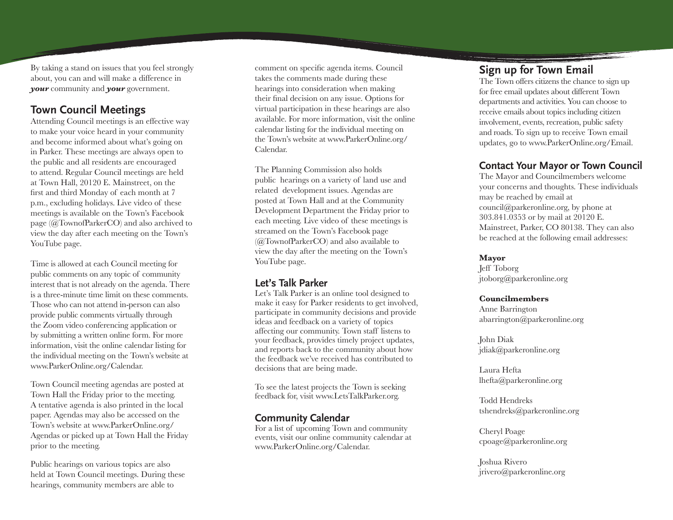By taking a stand on issues that you feel strongly about, you can and will make a difference in *your* community and *your* government.

# **Town Council Meetings**

Attending Council meetings is an effective way to make your voice heard in your community and become informed about what's going on in Parker. These meetings are always open to the public and all residents are encouraged to attend. Regular Council meetings are held at Town Hall, 20120 E. Mainstreet, on the first and third Monday of each month at 7 p.m., excluding holidays. Live video of these meetings is available on the Town's Facebook page (@TownofParkerCO) and also archived to view the day after each meeting on the Town's YouTube page.

Time is allowed at each Council meeting for public comments on any topic of community interest that is not already on the agenda. There is a three-minute time limit on these comments. Those who can not attend in-person can also provide public comments virtually through the Zoom video conferencing application or by submitting a written online form. For more information, visit the online calendar listing for the individual meeting on the Town's website at www.ParkerOnline.org/Calendar.

Town Council meeting agendas are posted at Town Hall the Friday prior to the meeting. A tentative agenda is also printed in the local paper. Agendas may also be accessed on the Town's website at www.ParkerOnline.org/ Agendas or picked up at Town Hall the Friday prior to the meeting.

Public hearings on various topics are also held at Town Council meetings. During these hearings, community members are able to

comment on specific agenda items. Council takes the comments made during these hearings into consideration when making their final decision on any issue. Options for virtual participation in these hearings are also available. For more information, visit the online calendar listing for the individual meeting on the Town's website at www.ParkerOnline.org/ Calendar.

The Planning Commission also holds public hearings on a variety of land use and related development issues. Agendas are posted at Town Hall and at the Community Development Department the Friday prior to each meeting. Live video of these meetings is streamed on the Town's Facebook page (@TownofParkerCO) and also available to view the day after the meeting on the Town's YouTube page.

### **Let's Talk Parker**

Let's Talk Parker is an online tool designed to make it easy for Parker residents to get involved, participate in community decisions and provide ideas and feedback on a variety of topics affecting our community. Town staff listens to your feedback, provides timely project updates, and reports back to the community about how the feedback we've received has contributed to decisions that are being made.

To see the latest projects the Town is seeking feedback for, visit www.LetsTalkParker.org.

### **Community Calendar**

For a list of upcoming Town and community events, visit our online community calendar at www.ParkerOnline.org/Calendar.

# **Sign up for Town Email**

The Town offers citizens the chance to sign up for free email updates about different Town departments and activities. You can choose to receive emails about topics including citizen involvement, events, recreation, public safety and roads. To sign up to receive Town email updates, go to www.ParkerOnline.org/Email.

## **Contact Your Mayor or Town Council**

The Mayor and Councilmembers welcome your concerns and thoughts. These individuals may be reached by email at council@parkeronline.org, by phone at 303.841.0353 or by mail at 20120 E. Mainstreet, Parker, CO 80138. They can also be reached at the following email addresses:

#### **Mayor**

Jeff Toborg jtoborg@parkeronline.org

#### **Councilmembers**

Anne Barrington abarrington@parkeronline.org

John Diak jdiak@parkeronline.org

Laura Hefta lhefta@parkeronline.org

Todd Hendreks tshendreks@parkeronline.org

Cheryl Poage cpoage@parkeronline.org

Joshua Rivero jrivero@parkeronline.org